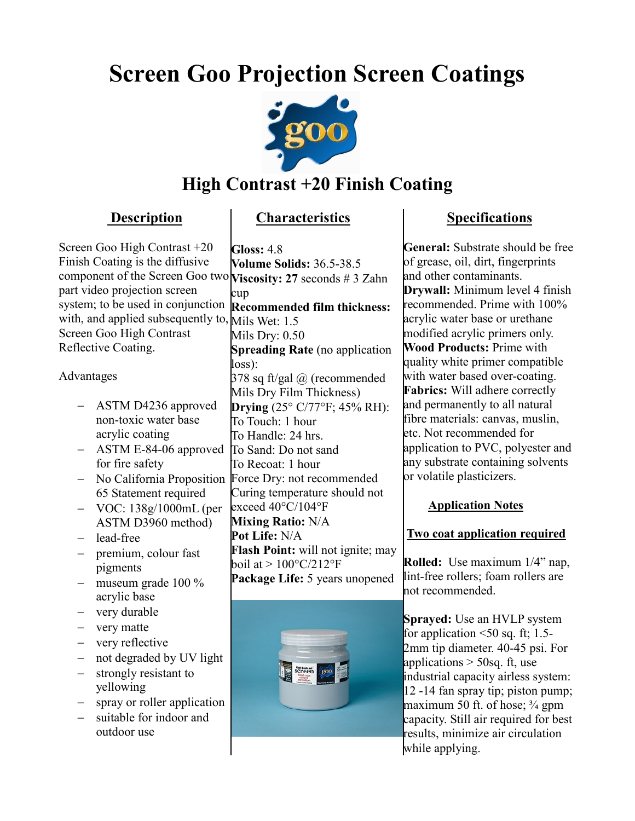# **Screen Goo Projection Screen Coatings**



# **High Contrast +20 Finish Coating**

### **Description**

## **Characteristics**

Screen Goo High Contrast +20 Finish Coating is the diffusive component of the Screen Goo two **Viscosity: 27** seconds # 3 Zahn part video projection screen system; to be used in conjunction with, and applied subsequently to, Mils Wet: 1.5 Screen Goo High Contrast Reflective Coating.

#### Advantages

- ASTM D4236 approved non-toxic water base acrylic coating
- ASTM E-84-06 approved for fire safety
- 65 Statement required
- VOC: 138g/1000mL (per ASTM D3960 method)
- lead-free
- premium, colour fast pigments
- $-$  museum grade 100  $\%$ acrylic base
- very durable
- very matte
- very reflective
- not degraded by UV light
- strongly resistant to yellowing
- spray or roller application
- suitable for indoor and outdoor use

- No California Proposition Force Dry: not recommended **Gloss:** 4.8 **Volume Solids:** 36.5-38.5 cup **Recommended film thickness:** Mils Dry: 0.50 **Spreading Rate** (no application loss): 378 sq ft/gal  $\omega$  (recommended Mils Dry Film Thickness) **Drying** (25° C/77°F; 45% RH): To Touch: 1 hour To Handle: 24 hrs. To Sand: Do not sand To Recoat: 1 hour Curing temperature should not exceed 40°C/104°F **Mixing Ratio:** N/A **Pot Life:** N/A **Flash Point:** will not ignite; may boil at  $> 100^{\circ}$ C/212°F **Package Life:** 5 years unopened



## **Specifications**

**General:** Substrate should be free of grease, oil, dirt, fingerprints and other contaminants. **Drywall:** Minimum level 4 finish recommended. Prime with 100% acrylic water base or urethane modified acrylic primers only. **Wood Products:** Prime with quality white primer compatible with water based over-coating. **Fabrics:** Will adhere correctly and permanently to all natural fibre materials: canvas, muslin, etc. Not recommended for application to PVC, polyester and any substrate containing solvents or volatile plasticizers.

### **Application Notes**

### **Two coat application required**

 **Rolled:** Use maximum 1/4" nap, lint-free rollers; foam rollers are not recommended.

**Sprayed:** Use an HVLP system for application  $\leq 50$  sq. ft; 1.5-2mm tip diameter. 40-45 psi. For applications  $>$  50sq. ft, use industrial capacity airless system: 12 -14 fan spray tip; piston pump; maximum 50 ft. of hose;  $\frac{3}{4}$  gpm capacity. Still air required for best results, minimize air circulation while applying.